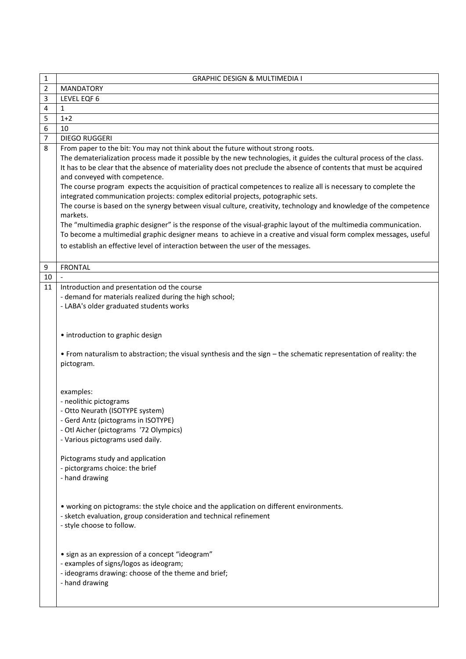| 1              | <b>GRAPHIC DESIGN &amp; MULTIMEDIA I</b>                                                                                                                                                                                                                                                                                                                                                                                                                                                                                                                                                                                                                                                                                                                                                                                                                                                                                                       |
|----------------|------------------------------------------------------------------------------------------------------------------------------------------------------------------------------------------------------------------------------------------------------------------------------------------------------------------------------------------------------------------------------------------------------------------------------------------------------------------------------------------------------------------------------------------------------------------------------------------------------------------------------------------------------------------------------------------------------------------------------------------------------------------------------------------------------------------------------------------------------------------------------------------------------------------------------------------------|
| $\overline{2}$ | <b>MANDATORY</b>                                                                                                                                                                                                                                                                                                                                                                                                                                                                                                                                                                                                                                                                                                                                                                                                                                                                                                                               |
| 3              | LEVEL EQF 6                                                                                                                                                                                                                                                                                                                                                                                                                                                                                                                                                                                                                                                                                                                                                                                                                                                                                                                                    |
| 4              | $\mathbf{1}$                                                                                                                                                                                                                                                                                                                                                                                                                                                                                                                                                                                                                                                                                                                                                                                                                                                                                                                                   |
| 5              | $1+2$                                                                                                                                                                                                                                                                                                                                                                                                                                                                                                                                                                                                                                                                                                                                                                                                                                                                                                                                          |
| 6              | 10                                                                                                                                                                                                                                                                                                                                                                                                                                                                                                                                                                                                                                                                                                                                                                                                                                                                                                                                             |
| 7              | <b>DIEGO RUGGERI</b>                                                                                                                                                                                                                                                                                                                                                                                                                                                                                                                                                                                                                                                                                                                                                                                                                                                                                                                           |
| 8              | From paper to the bit: You may not think about the future without strong roots.                                                                                                                                                                                                                                                                                                                                                                                                                                                                                                                                                                                                                                                                                                                                                                                                                                                                |
|                | The dematerialization process made it possible by the new technologies, it guides the cultural process of the class.<br>It has to be clear that the absence of materiality does not preclude the absence of contents that must be acquired<br>and conveyed with competence.<br>The course program expects the acquisition of practical competences to realize all is necessary to complete the<br>integrated communication projects: complex editorial projects, potographic sets.<br>The course is based on the synergy between visual culture, creativity, technology and knowledge of the competence<br>markets.<br>The "multimedia graphic designer" is the response of the visual-graphic layout of the multimedia communication.<br>To become a multimedial graphic designer means to achieve in a creative and visual form complex messages, useful<br>to establish an effective level of interaction between the user of the messages. |
| 9              | <b>FRONTAL</b>                                                                                                                                                                                                                                                                                                                                                                                                                                                                                                                                                                                                                                                                                                                                                                                                                                                                                                                                 |
| 10             |                                                                                                                                                                                                                                                                                                                                                                                                                                                                                                                                                                                                                                                                                                                                                                                                                                                                                                                                                |
| 11             | Introduction and presentation od the course                                                                                                                                                                                                                                                                                                                                                                                                                                                                                                                                                                                                                                                                                                                                                                                                                                                                                                    |
|                | - demand for materials realized during the high school;                                                                                                                                                                                                                                                                                                                                                                                                                                                                                                                                                                                                                                                                                                                                                                                                                                                                                        |
|                | - LABA's older graduated students works                                                                                                                                                                                                                                                                                                                                                                                                                                                                                                                                                                                                                                                                                                                                                                                                                                                                                                        |
|                |                                                                                                                                                                                                                                                                                                                                                                                                                                                                                                                                                                                                                                                                                                                                                                                                                                                                                                                                                |
|                | • introduction to graphic design<br>• From naturalism to abstraction; the visual synthesis and the sign - the schematic representation of reality: the<br>pictogram.                                                                                                                                                                                                                                                                                                                                                                                                                                                                                                                                                                                                                                                                                                                                                                           |
|                | examples:<br>- neolithic pictograms<br>- Otto Neurath (ISOTYPE system)<br>- Gerd Antz (pictograms in ISOTYPE)<br>- Otl Aicher (pictograms '72 Olympics)<br>- Various pictograms used daily.<br>Pictograms study and application<br>- pictorgrams choice: the brief<br>- hand drawing<br>• working on pictograms: the style choice and the application on different environments.<br>- sketch evaluation, group consideration and technical refinement<br>- style choose to follow.<br>• sign as an expression of a concept "ideogram"<br>- examples of signs/logos as ideogram;<br>- ideograms drawing: choose of the theme and brief;<br>- hand drawing                                                                                                                                                                                                                                                                                       |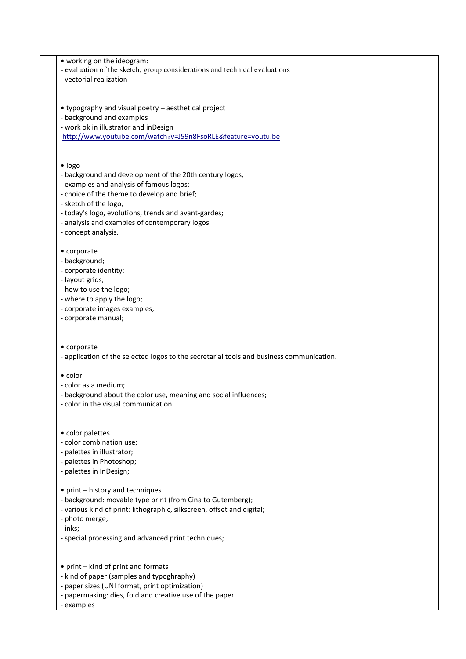• working on the ideogram: - evaluation of the sketch, group considerations and technical evaluations - vectorial realization • typography and visual poetry – aesthetical project - background and examples - work ok in illustrator and inDesign <http://www.youtube.com/watch?v=J59n8FsoRLE&feature=youtu.be> • Iogo - background and development of the 20th century logos, - examples and analysis of famous logos; - choice of the theme to develop and brief; - sketch of the logo; - today's logo, evolutions, trends and avant-gardes; - analysis and examples of contemporary logos - concept analysis. • corporate - background; - corporate identity; - layout grids; - how to use the logo; - where to apply the logo; - corporate images examples; - corporate manual; • corporate - application of the selected logos to the secretarial tools and business communication. • color - color as a medium; - background about the color use, meaning and social influences; - color in the visual communication. • color palettes - color combination use; - palettes in illustrator; - palettes in Photoshop; - palettes in InDesign; • print – history and techniques - background: movable type print (from Cina to Gutemberg); - various kind of print: lithographic, silkscreen, offset and digital; - photo merge; - inks; - special processing and advanced print techniques; • print – kind of print and formats - kind of paper (samples and typoghraphy) - paper sizes (UNI format, print optimization)

- papermaking: dies, fold and creative use of the paper
- examples